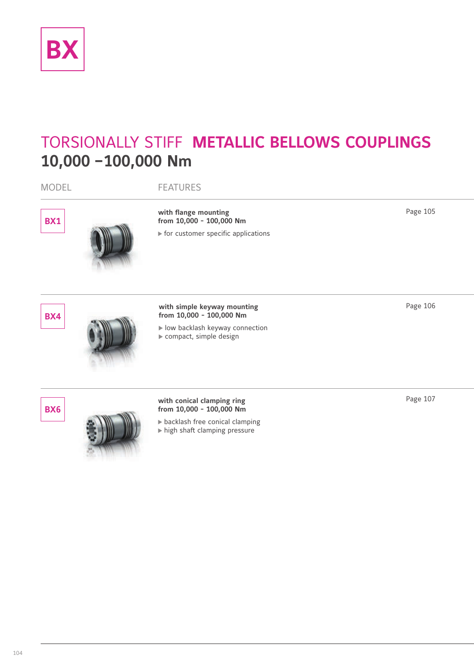

# TORSIONALLY STIFF **METALLIC BELLOWS COUPLINGS 10,000 –100,000 Nm**

| <b>MODEL</b> | <b>FEATURES</b>                                                                                                          |          |
|--------------|--------------------------------------------------------------------------------------------------------------------------|----------|
| <b>BX1</b>   | with flange mounting<br>from 10,000 - 100,000 Nm<br>▶ for customer specific applications                                 | Page 105 |
| <b>BX4</b>   | with simple keyway mounting<br>from 10,000 - 100,000 Nm<br>I low backlash keyway connection<br>compact, simple design    | Page 106 |
| BX6          | with conical clamping ring<br>from 10,000 - 100,000 Nm<br>backlash free conical clamping<br>high shaft clamping pressure | Page 107 |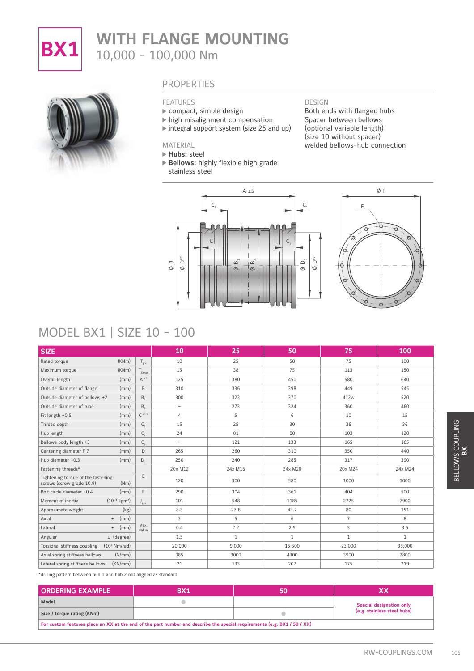

# **BX1** WITH FLANGE MOUNTING 10,000 - 100,000 Nm



### PROPERTIES

#### FEATURES

- compact, simple design
- high misalignment compensation
- $\triangleright$  integral support system (size 25 and up)

Both ends with flanged hubs Spacer between bellows (optional variable length) (size 10 without spacer) welded bellows-hub connection

DESIGN

**Hubs:** steel

MATERIAL

- 
- **Bellows:** highly flexible high grade stainless steel

C





## MODEL BX1 | SIZE 10 - 100

| MODEL BX1   SIZE 10 - 100                                               |               |                          |                                                                                                                      |             | O<br>$0 - \theta$ |                                 |
|-------------------------------------------------------------------------|---------------|--------------------------|----------------------------------------------------------------------------------------------------------------------|-------------|-------------------|---------------------------------|
| <b>SIZE</b>                                                             |               | 10                       | 25                                                                                                                   | 50          | 75                | 100                             |
| (KNm)<br>Rated torque                                                   | $T_{KN}$      | 10                       | 25                                                                                                                   | 50          | 75                | 100                             |
| Maximum torque<br>(KNm)                                                 | $T_{Kmax}$    | 15                       | 38                                                                                                                   | 75          | 113               | 150                             |
| (mm)<br>Overall length                                                  | $A \pm 5$     | 125                      | 380                                                                                                                  | 450         | 580               | 640                             |
| Outside diameter of flange<br>(mm)                                      | $\mathsf B$   | 310                      | 336                                                                                                                  | 398         | 449               | 545                             |
| Outside diameter of bellows ±2<br>(mm)                                  | B,            | 300                      | 323                                                                                                                  | 370         | 412w              | 520                             |
| Outside diameter of tube<br>(mm)                                        | $B_{2}$       | $\overline{\phantom{a}}$ | 273                                                                                                                  | 324         | 360               | 460                             |
| Fit length +0.5<br>(mm)                                                 | $C + 0.5$     | $\overline{4}$           | 5                                                                                                                    | 6           | 10                | 15                              |
| Thread depth<br>(mm)                                                    | $C_{1}$       | 15                       | 25                                                                                                                   | 30          | 36                | 36                              |
| Hub length<br>(mm)                                                      | $C_{2}$       | 24                       | 81                                                                                                                   | 80          | 103               | 120                             |
| Bellows body length +3<br>(mm)                                          | $C_{3}$       | $\overline{\phantom{a}}$ | 121                                                                                                                  | 133         | 165               | 165                             |
| Centering diameter F 7<br>(mm)                                          | D             | 265                      | 260                                                                                                                  | 310         | 350               | 440                             |
| Hub diameter +0.3<br>(mm)                                               | D,            | 250                      | 240                                                                                                                  | 285         | 317               | 390                             |
| Fastening threads*                                                      |               | 20x M12                  | 24x M16                                                                                                              | 24x M20     | 20x M24           | 24x M24                         |
| Tightening torque of the fastening<br>screws (screw grade 10.9)<br>(Nm) | $\mathsf E$   | 120                      | 300                                                                                                                  | 580         | 1000              | 1000                            |
| Bolt circle diameter ±0.4<br>(mm)                                       | F             | 290                      | 304                                                                                                                  | 361         | 404               | 500                             |
| $(10^{-3} \text{ kgm}^2)$<br>Moment of inertia                          | $J_{ges.}$    | 101                      | 548                                                                                                                  | 1185        | 2725              | 7900                            |
| Approximate weight<br>(kg)                                              |               | 8.3                      | 27.8                                                                                                                 | 43.7        | 80                | 151                             |
| Axial<br>(mm)<br>$\pm$                                                  |               | 3                        | 5                                                                                                                    | 6           | $\overline{7}$    | 8                               |
| (mm)<br>Lateral<br>$\pm$                                                | Max.<br>value | 0.4                      | 2.2                                                                                                                  | 2.5         | 3                 | 3.5                             |
| $\pm$ (degree)<br>Angular                                               |               | 1.5                      | $\mathbf{1}$                                                                                                         | $\mathbf 1$ | $\mathbf{1}$      | $\mathbf{1}$                    |
| Torsional stiffness coupling<br>(10 <sup>3</sup> Nm/rad)                |               | 20,000                   | 9,000                                                                                                                | 15,500      | 23,000            | 35,000                          |
| (N/mm)<br>Axial spring stiffness bellows                                |               | 985                      | 3000                                                                                                                 | 4300        | 3900              | 2800                            |
| (KN/mm)<br>Lateral spring stiffness bellows                             |               | 21                       | 133                                                                                                                  | 207         | 175               | 219                             |
| *drilling pattern between hub 1 and hub 2 not aligned as standard       |               |                          |                                                                                                                      |             |                   |                                 |
| <b>ORDERING EXAMPLE</b>                                                 |               | <b>BX1</b>               | 50                                                                                                                   |             |                   | XX                              |
| Model                                                                   |               | $\bullet$                |                                                                                                                      |             |                   | <b>Special designation only</b> |
| Size / torque rating (KNm)                                              |               |                          |                                                                                                                      | $\bullet$   |                   | (e.g. stainless steel hubs)     |
|                                                                         |               |                          | For custom features place an XX at the end of the part number and describe the special requirements (e.g. BX1/50/XX) |             |                   |                                 |

| <b>ORDERING EXAMPLE</b>                                                                                              | BX1 |  |                                 |  |  |  |  |  |
|----------------------------------------------------------------------------------------------------------------------|-----|--|---------------------------------|--|--|--|--|--|
| Model                                                                                                                |     |  | <b>Special designation only</b> |  |  |  |  |  |
| Size / torque rating (KNm)                                                                                           |     |  | (e.g. stainless steel hubs)     |  |  |  |  |  |
| For custom features place an XX at the end of the part number and describe the special requirements (e.g. BX1/50/XX) |     |  |                                 |  |  |  |  |  |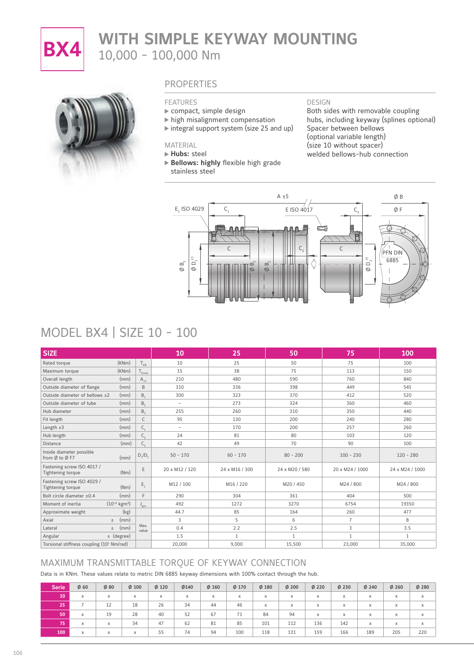

# **BX4** WITH SIMPLE KEYWAY MOUNTING 10,000 - 100,000 Nm



### **PROPERTIES**

#### FEATURES

- compact, simple design
- high misalignment compensation
- $\triangleright$  integral support system (size 25 and up)

#### MATERIAL

**Hubs:** steel

 **Bellows: highly** flexible high grade stainless steel

DESIGN

Both sides with removable coupling hubs, including keyway (splines optional) Spacer between bellows (optional variable length) (size 10 without spacer) welded bellows-hub connection



## MODEL BX4 | SIZE 10 - 100

| <b>SIZE</b>                                           |                           |                  | 10                       | 25             | 50             | 75              | 100             |
|-------------------------------------------------------|---------------------------|------------------|--------------------------|----------------|----------------|-----------------|-----------------|
| Rated torque                                          | (KNm)                     | $T_{KN}$         | 10                       | 25             | 50             | 75              | 100             |
| Maximum torque                                        | (KNm)                     | $T_{Kmax}$       | 15                       | 38             | 75             | 113             | 150             |
| Overall length                                        | (mm)                      | $A_{+5}$         | 210                      | 480            | 590            | 760             | 840             |
| Outside diameter of flange                            | (mm)                      | B                | 310                      | 336            | 398            | 449             | 545             |
| Outside diameter of bellows $\pm 2$                   | (mm)                      | $B_{1}$          | 300                      | 323            | 370            | 412             | 520             |
| Outside diameter of tube                              | (mm)                      | $B_{2}$          | $\overline{\phantom{a}}$ | 273            | 324            | 360             | 460             |
| Hub diameter                                          | (mm)                      | $B_{\rm a}$      | 255                      | 260            | 310            | 350             | 440             |
| Fit length                                            | (mm)                      | $\mathsf{C}$     | 95                       | 130            | 200            | 240             | 280             |
| Length $±3$                                           | (mm)                      | $C_{1}$          | $\overline{\phantom{a}}$ | 170            | 200            | 257             | 260             |
| Hub length                                            | (mm)                      | $C_{2}$          | 24                       | 81             | 80             | 103             | 120             |
| Distance                                              | (mm)                      | $C_{3}$          | 42                       | 49             | 70             | 90              | 100             |
| Inside diameter possible<br>from Ø to Ø F7            | (mm)                      | $D_1/D_2$        | $50 - 170$               | $60 - 170$     | $80 - 200$     | $100 - 230$     | $120 - 280$     |
| Fastening screw ISO 4017 /<br>Tightening torque       | (Nm)                      | E                | 20 x M12 / 120           | 24 x M16 / 300 | 24 x M20 / 580 | 20 x M24 / 1000 | 24 x M24 / 1000 |
| Fastening screw ISO 4029 /<br>Tightening torque       | (Nm)                      | $E_{1}$          | M12 / 100                | M16 / 220      | M20 / 450      | M24 / 800       | M24 / 800       |
| Bolt circle diameter ±0.4                             | (mm)                      | E                | 290                      | 304            | 361            | 404             | 500             |
| Moment of inertia                                     | $(10^{-3} \text{ kgm}^2)$ | $J_{\text{ges}}$ | 492                      | 1272           | 3270           | 6754            | 19350           |
| Approximate weight                                    | (kg)                      |                  | 44.7                     | 85             | 164            | 260             | 477             |
| Axial                                                 | (mm)<br>$\pm$             |                  | 3                        | 5              | 6              | $\overline{7}$  | 8               |
| Lateral                                               | (mm)<br>$\pm$             | Max.<br>value    | 0.4                      | 2.2            | 2.5            | 3               | 3.5             |
| Angular                                               | $\pm$ (degree)            |                  | 1.5                      | $\mathbf{1}$   | $\mathbf{1}$   | $\mathbf{1}$    | $\mathbf{1}$    |
| Torsional stiffness coupling (10 <sup>3</sup> Nm/rad) |                           |                  | 20,000                   | 9,000          | 15,500         | 23,000          | 35,000          |

### MAXIMUM TRANSMITTABLE TORQUE OF KEYWAY CONNECTION

Data is in KNm. These values relate to metric DIN 6885 keyway dimensions with 100% contact through the hub.

| <b>Serie</b> | $\Phi$ 60 | $\phi$ 80 | $\phi$ 100 | $\phi$ 120 | Ø140     | $Ø$ 160  | $\phi$ 170 | $Ø$ 180 | $\phi$ 200                | $\phi$ 220 | $\phi$ 230 | $\phi$ 240 | $\phi$ 260 | $\phi$ 280 |
|--------------|-----------|-----------|------------|------------|----------|----------|------------|---------|---------------------------|------------|------------|------------|------------|------------|
| 10           | X         | $\times$  | $\times$   | $\times$   | $\times$ | $\times$ | X          | X       | $\boldsymbol{\mathsf{x}}$ | X          | $\times$   | $\times$   | X          | $\times$   |
| 25.          |           | 12        | 18         | 26         | 34       | 44       | 46         | X       | X                         | X          | $\times$   | X          | X          | $\times$   |
| 50           | X         | 19        | 28         | 40         | 52       | 67       | 71         | 84      | 94                        | X          | $\times$   | $\times$   | X          | $\times$   |
| 75           | $\times$  | X         | 34         | 47         | 62       | 81       | 85         | 101     | 112                       | 136        | 142        | X          | X          | $\times$   |
| 100          | X         | X         | $\times$   | 55         | 74       | 94       | 100        | 118     | 131                       | 159        | 166        | 189        | 205        | 220        |